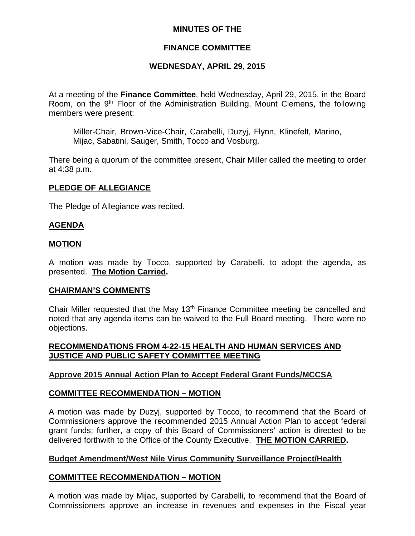#### **MINUTES OF THE**

## **FINANCE COMMITTEE**

#### **WEDNESDAY, APRIL 29, 2015**

At a meeting of the **Finance Committee**, held Wednesday, April 29, 2015, in the Board Room, on the 9<sup>th</sup> Floor of the Administration Building, Mount Clemens, the following members were present:

Miller-Chair, Brown-Vice-Chair, Carabelli, Duzyj, Flynn, Klinefelt, Marino, Mijac, Sabatini, Sauger, Smith, Tocco and Vosburg.

There being a quorum of the committee present, Chair Miller called the meeting to order at 4:38 p.m.

#### **PLEDGE OF ALLEGIANCE**

The Pledge of Allegiance was recited.

#### **AGENDA**

#### **MOTION**

A motion was made by Tocco, supported by Carabelli, to adopt the agenda, as presented. **The Motion Carried.**

#### **CHAIRMAN'S COMMENTS**

Chair Miller requested that the May 13th Finance Committee meeting be cancelled and noted that any agenda items can be waived to the Full Board meeting. There were no objections.

#### **RECOMMENDATIONS FROM 4-22-15 HEALTH AND HUMAN SERVICES AND JUSTICE AND PUBLIC SAFETY COMMITTEE MEETING**

#### **Approve 2015 Annual Action Plan to Accept Federal Grant Funds/MCCSA**

#### **COMMITTEE RECOMMENDATION – MOTION**

A motion was made by Duzyj, supported by Tocco, to recommend that the Board of Commissioners approve the recommended 2015 Annual Action Plan to accept federal grant funds; further, a copy of this Board of Commissioners' action is directed to be delivered forthwith to the Office of the County Executive. **THE MOTION CARRIED.**

#### **Budget Amendment/West Nile Virus Community Surveillance Project/Health**

#### **COMMITTEE RECOMMENDATION – MOTION**

A motion was made by Mijac, supported by Carabelli, to recommend that the Board of Commissioners approve an increase in revenues and expenses in the Fiscal year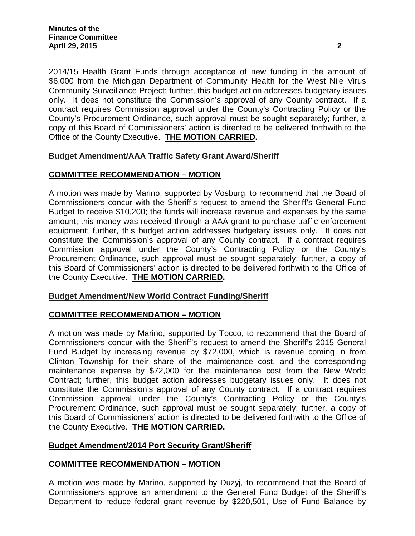2014/15 Health Grant Funds through acceptance of new funding in the amount of \$6,000 from the Michigan Department of Community Health for the West Nile Virus Community Surveillance Project; further, this budget action addresses budgetary issues only. It does not constitute the Commission's approval of any County contract. If a contract requires Commission approval under the County's Contracting Policy or the County's Procurement Ordinance, such approval must be sought separately; further, a copy of this Board of Commissioners' action is directed to be delivered forthwith to the Office of the County Executive. **THE MOTION CARRIED.**

# **Budget Amendment/AAA Traffic Safety Grant Award/Sheriff**

# **COMMITTEE RECOMMENDATION – MOTION**

A motion was made by Marino, supported by Vosburg, to recommend that the Board of Commissioners concur with the Sheriff's request to amend the Sheriff's General Fund Budget to receive \$10,200; the funds will increase revenue and expenses by the same amount; this money was received through a AAA grant to purchase traffic enforcement equipment; further, this budget action addresses budgetary issues only. It does not constitute the Commission's approval of any County contract. If a contract requires Commission approval under the County's Contracting Policy or the County's Procurement Ordinance, such approval must be sought separately; further, a copy of this Board of Commissioners' action is directed to be delivered forthwith to the Office of the County Executive. **THE MOTION CARRIED.**

## **Budget Amendment/New World Contract Funding/Sheriff**

# **COMMITTEE RECOMMENDATION – MOTION**

A motion was made by Marino, supported by Tocco, to recommend that the Board of Commissioners concur with the Sheriff's request to amend the Sheriff's 2015 General Fund Budget by increasing revenue by \$72,000, which is revenue coming in from Clinton Township for their share of the maintenance cost, and the corresponding maintenance expense by \$72,000 for the maintenance cost from the New World Contract; further, this budget action addresses budgetary issues only. It does not constitute the Commission's approval of any County contract. If a contract requires Commission approval under the County's Contracting Policy or the County's Procurement Ordinance, such approval must be sought separately; further, a copy of this Board of Commissioners' action is directed to be delivered forthwith to the Office of the County Executive. **THE MOTION CARRIED.**

## **Budget Amendment/2014 Port Security Grant/Sheriff**

## **COMMITTEE RECOMMENDATION – MOTION**

A motion was made by Marino, supported by Duzyj, to recommend that the Board of Commissioners approve an amendment to the General Fund Budget of the Sheriff's Department to reduce federal grant revenue by \$220,501, Use of Fund Balance by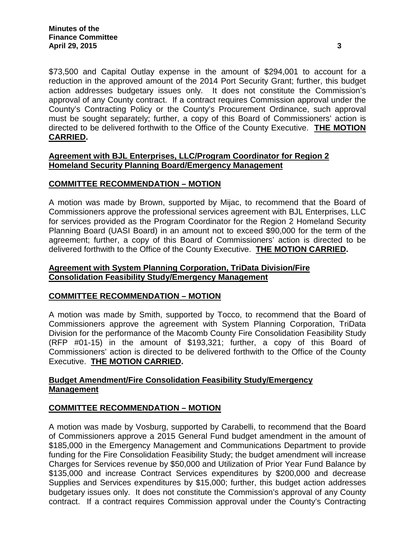\$73,500 and Capital Outlay expense in the amount of \$294,001 to account for a reduction in the approved amount of the 2014 Port Security Grant; further, this budget action addresses budgetary issues only. It does not constitute the Commission's approval of any County contract. If a contract requires Commission approval under the County's Contracting Policy or the County's Procurement Ordinance, such approval must be sought separately; further, a copy of this Board of Commissioners' action is directed to be delivered forthwith to the Office of the County Executive. **THE MOTION CARRIED.**

#### **Agreement with BJL Enterprises, LLC/Program Coordinator for Region 2 Homeland Security Planning Board/Emergency Management**

## **COMMITTEE RECOMMENDATION – MOTION**

A motion was made by Brown, supported by Mijac, to recommend that the Board of Commissioners approve the professional services agreement with BJL Enterprises, LLC for services provided as the Program Coordinator for the Region 2 Homeland Security Planning Board (UASI Board) in an amount not to exceed \$90,000 for the term of the agreement; further, a copy of this Board of Commissioners' action is directed to be delivered forthwith to the Office of the County Executive. **THE MOTION CARRIED.**

## **Agreement with System Planning Corporation, TriData Division/Fire Consolidation Feasibility Study/Emergency Management**

## **COMMITTEE RECOMMENDATION – MOTION**

A motion was made by Smith, supported by Tocco, to recommend that the Board of Commissioners approve the agreement with System Planning Corporation, TriData Division for the performance of the Macomb County Fire Consolidation Feasibility Study (RFP #01-15) in the amount of \$193,321; further, a copy of this Board of Commissioners' action is directed to be delivered forthwith to the Office of the County Executive. **THE MOTION CARRIED.**

# **Budget Amendment/Fire Consolidation Feasibility Study/Emergency Management**

## **COMMITTEE RECOMMENDATION – MOTION**

A motion was made by Vosburg, supported by Carabelli, to recommend that the Board of Commissioners approve a 2015 General Fund budget amendment in the amount of \$185,000 in the Emergency Management and Communications Department to provide funding for the Fire Consolidation Feasibility Study; the budget amendment will increase Charges for Services revenue by \$50,000 and Utilization of Prior Year Fund Balance by \$135,000 and increase Contract Services expenditures by \$200,000 and decrease Supplies and Services expenditures by \$15,000; further, this budget action addresses budgetary issues only. It does not constitute the Commission's approval of any County contract. If a contract requires Commission approval under the County's Contracting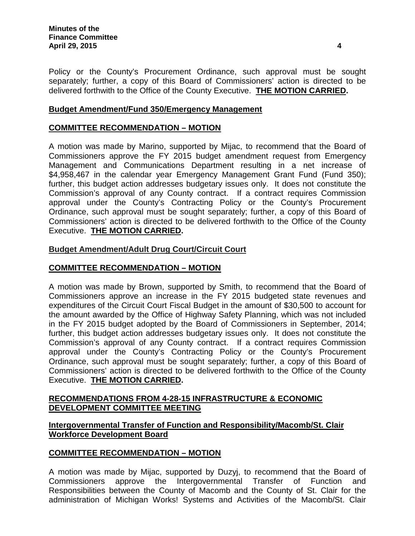Policy or the County's Procurement Ordinance, such approval must be sought separately; further, a copy of this Board of Commissioners' action is directed to be delivered forthwith to the Office of the County Executive. **THE MOTION CARRIED.**

## **Budget Amendment/Fund 350/Emergency Management**

# **COMMITTEE RECOMMENDATION – MOTION**

A motion was made by Marino, supported by Mijac, to recommend that the Board of Commissioners approve the FY 2015 budget amendment request from Emergency Management and Communications Department resulting in a net increase of \$4,958,467 in the calendar year Emergency Management Grant Fund (Fund 350); further, this budget action addresses budgetary issues only. It does not constitute the Commission's approval of any County contract. If a contract requires Commission approval under the County's Contracting Policy or the County's Procurement Ordinance, such approval must be sought separately; further, a copy of this Board of Commissioners' action is directed to be delivered forthwith to the Office of the County Executive. **THE MOTION CARRIED.**

#### **Budget Amendment/Adult Drug Court/Circuit Court**

## **COMMITTEE RECOMMENDATION – MOTION**

A motion was made by Brown, supported by Smith, to recommend that the Board of Commissioners approve an increase in the FY 2015 budgeted state revenues and expenditures of the Circuit Court Fiscal Budget in the amount of \$30,500 to account for the amount awarded by the Office of Highway Safety Planning, which was not included in the FY 2015 budget adopted by the Board of Commissioners in September, 2014; further, this budget action addresses budgetary issues only. It does not constitute the Commission's approval of any County contract. If a contract requires Commission approval under the County's Contracting Policy or the County's Procurement Ordinance, such approval must be sought separately; further, a copy of this Board of Commissioners' action is directed to be delivered forthwith to the Office of the County Executive. **THE MOTION CARRIED.**

#### **RECOMMENDATIONS FROM 4-28-15 INFRASTRUCTURE & ECONOMIC DEVELOPMENT COMMITTEE MEETING**

## **Intergovernmental Transfer of Function and Responsibility/Macomb/St. Clair Workforce Development Board**

## **COMMITTEE RECOMMENDATION – MOTION**

A motion was made by Mijac, supported by Duzyj, to recommend that the Board of Commissioners approve the Intergovernmental Transfer of Function and Responsibilities between the County of Macomb and the County of St. Clair for the administration of Michigan Works! Systems and Activities of the Macomb/St. Clair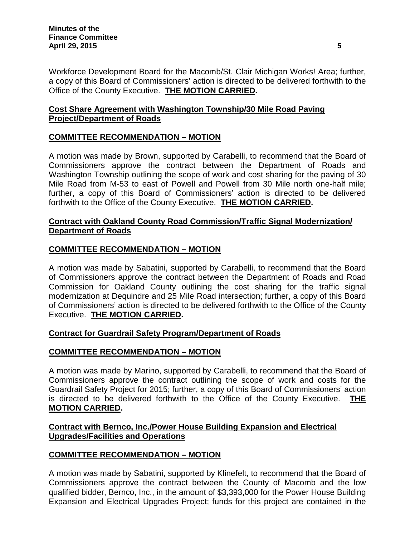Workforce Development Board for the Macomb/St. Clair Michigan Works! Area; further, a copy of this Board of Commissioners' action is directed to be delivered forthwith to the Office of the County Executive. **THE MOTION CARRIED.**

# **Cost Share Agreement with Washington Township/30 Mile Road Paving Project/Department of Roads**

# **COMMITTEE RECOMMENDATION – MOTION**

A motion was made by Brown, supported by Carabelli, to recommend that the Board of Commissioners approve the contract between the Department of Roads and Washington Township outlining the scope of work and cost sharing for the paving of 30 Mile Road from M-53 to east of Powell and Powell from 30 Mile north one-half mile; further, a copy of this Board of Commissioners' action is directed to be delivered forthwith to the Office of the County Executive. **THE MOTION CARRIED.**

## **Contract with Oakland County Road Commission/Traffic Signal Modernization/ Department of Roads**

## **COMMITTEE RECOMMENDATION – MOTION**

A motion was made by Sabatini, supported by Carabelli, to recommend that the Board of Commissioners approve the contract between the Department of Roads and Road Commission for Oakland County outlining the cost sharing for the traffic signal modernization at Dequindre and 25 Mile Road intersection; further, a copy of this Board of Commissioners' action is directed to be delivered forthwith to the Office of the County Executive. **THE MOTION CARRIED.**

## **Contract for Guardrail Safety Program/Department of Roads**

## **COMMITTEE RECOMMENDATION – MOTION**

A motion was made by Marino, supported by Carabelli, to recommend that the Board of Commissioners approve the contract outlining the scope of work and costs for the Guardrail Safety Project for 2015; further, a copy of this Board of Commissioners' action is directed to be delivered forthwith to the Office of the County Executive. **THE MOTION CARRIED.**

# **Contract with Bernco, Inc./Power House Building Expansion and Electrical Upgrades/Facilities and Operations**

## **COMMITTEE RECOMMENDATION – MOTION**

A motion was made by Sabatini, supported by Klinefelt, to recommend that the Board of Commissioners approve the contract between the County of Macomb and the low qualified bidder, Bernco, Inc., in the amount of \$3,393,000 for the Power House Building Expansion and Electrical Upgrades Project; funds for this project are contained in the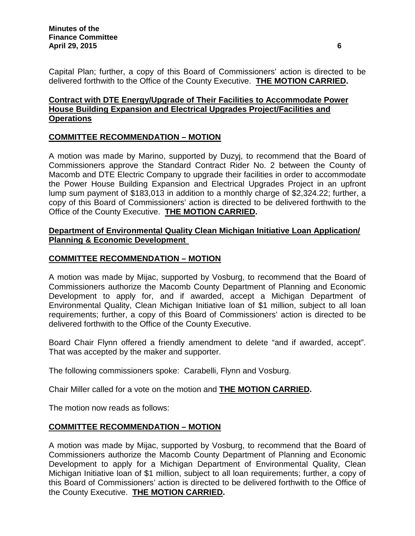Capital Plan; further, a copy of this Board of Commissioners' action is directed to be delivered forthwith to the Office of the County Executive. **THE MOTION CARRIED.**

# **Contract with DTE Energy/Upgrade of Their Facilities to Accommodate Power House Building Expansion and Electrical Upgrades Project/Facilities and Operations**

# **COMMITTEE RECOMMENDATION – MOTION**

A motion was made by Marino, supported by Duzyj, to recommend that the Board of Commissioners approve the Standard Contract Rider No. 2 between the County of Macomb and DTE Electric Company to upgrade their facilities in order to accommodate the Power House Building Expansion and Electrical Upgrades Project in an upfront lump sum payment of \$183,013 in addition to a monthly charge of \$2,324.22; further, a copy of this Board of Commissioners' action is directed to be delivered forthwith to the Office of the County Executive. **THE MOTION CARRIED.**

## **Department of Environmental Quality Clean Michigan Initiative Loan Application/ Planning & Economic Development**

# **COMMITTEE RECOMMENDATION – MOTION**

A motion was made by Mijac, supported by Vosburg, to recommend that the Board of Commissioners authorize the Macomb County Department of Planning and Economic Development to apply for, and if awarded, accept a Michigan Department of Environmental Quality, Clean Michigan Initiative loan of \$1 million, subject to all loan requirements; further, a copy of this Board of Commissioners' action is directed to be delivered forthwith to the Office of the County Executive.

Board Chair Flynn offered a friendly amendment to delete "and if awarded, accept". That was accepted by the maker and supporter.

The following commissioners spoke: Carabelli, Flynn and Vosburg.

Chair Miller called for a vote on the motion and **THE MOTION CARRIED.**

The motion now reads as follows:

# **COMMITTEE RECOMMENDATION – MOTION**

A motion was made by Mijac, supported by Vosburg, to recommend that the Board of Commissioners authorize the Macomb County Department of Planning and Economic Development to apply for a Michigan Department of Environmental Quality, Clean Michigan Initiative loan of \$1 million, subject to all loan requirements; further, a copy of this Board of Commissioners' action is directed to be delivered forthwith to the Office of the County Executive. **THE MOTION CARRIED.**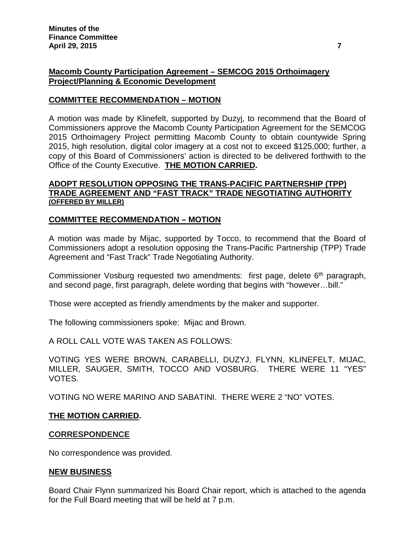## **Macomb County Participation Agreement – SEMCOG 2015 Orthoimagery Project/Planning & Economic Development**

## **COMMITTEE RECOMMENDATION – MOTION**

A motion was made by Klinefelt, supported by Duzyj, to recommend that the Board of Commissioners approve the Macomb County Participation Agreement for the SEMCOG 2015 Orthoimagery Project permitting Macomb County to obtain countywide Spring 2015, high resolution, digital color imagery at a cost not to exceed \$125,000; further, a copy of this Board of Commissioners' action is directed to be delivered forthwith to the Office of the County Executive. **THE MOTION CARRIED.**

#### **ADOPT RESOLUTION OPPOSING THE TRANS-PACIFIC PARTNERSHIP (TPP) TRADE AGREEMENT AND "FAST TRACK" TRADE NEGOTIATING AUTHORITY (OFFERED BY MILLER)**

## **COMMITTEE RECOMMENDATION – MOTION**

A motion was made by Mijac, supported by Tocco, to recommend that the Board of Commissioners adopt a resolution opposing the Trans-Pacific Partnership (TPP) Trade Agreement and "Fast Track" Trade Negotiating Authority.

Commissioner Vosburg requested two amendments: first page, delete 6<sup>th</sup> paragraph, and second page, first paragraph, delete wording that begins with "however…bill."

Those were accepted as friendly amendments by the maker and supporter.

The following commissioners spoke: Mijac and Brown.

A ROLL CALL VOTE WAS TAKEN AS FOLLOWS:

VOTING YES WERE BROWN, CARABELLI, DUZYJ, FLYNN, KLINEFELT, MIJAC, MILLER, SAUGER, SMITH, TOCCO AND VOSBURG. THERE WERE 11 "YES" VOTES.

VOTING NO WERE MARINO AND SABATINI. THERE WERE 2 "NO" VOTES.

## **THE MOTION CARRIED.**

#### **CORRESPONDENCE**

No correspondence was provided.

## **NEW BUSINESS**

Board Chair Flynn summarized his Board Chair report, which is attached to the agenda for the Full Board meeting that will be held at 7 p.m.